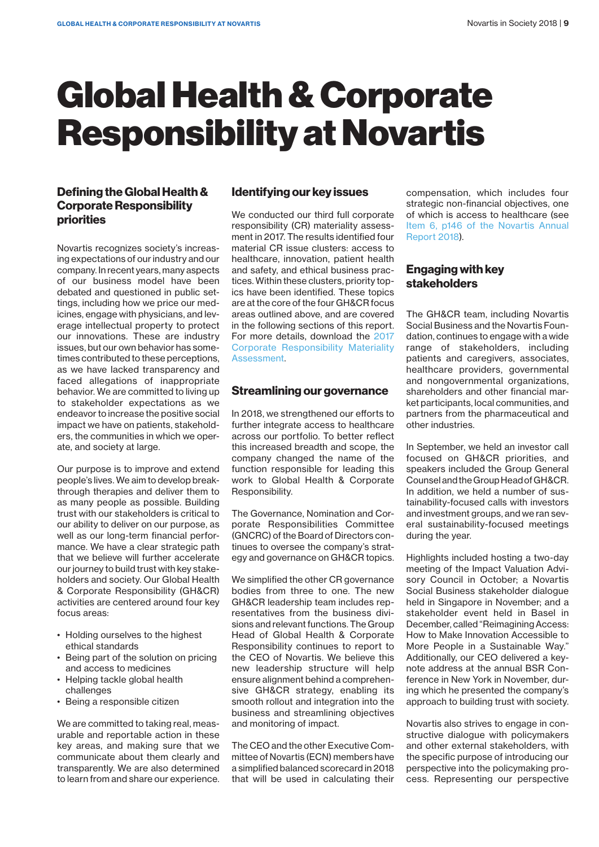# Global Health & Corporate Responsibility at Novartis

## **Defining the Global Health & Corporate Responsibility priorities**

Novartis recognizes society's increasing expectations of our industry and our company. In recent years, many aspects of our business model have been debated and questioned in public settings, including how we price our medicines, engage with physicians, and leverage intellectual property to protect our innovations. These are industry issues, but our own behavior has sometimes contributed to these perceptions, as we have lacked transparency and faced allegations of inappropriate behavior. We are committed to living up to stakeholder expectations as we endeavor to increase the positive social impact we have on patients, stakeholders, the communities in which we operate, and society at large.

Our purpose is to improve and extend people's lives. We aim to develop breakthrough therapies and deliver them to as many people as possible. Building trust with our stakeholders is critical to our ability to deliver on our purpose, as well as our long-term financial performance. We have a clear strategic path that we believe will further accelerate our journey to build trust with key stakeholders and society. Our Global Health & Corporate Responsibility (GH&CR) activities are centered around four key focus areas:

- Holding ourselves to the highest ethical standards
- Being part of the solution on pricing and access to medicines
- Helping tackle global health challenges
- Being a responsible citizen

We are committed to taking real, measurable and reportable action in these key areas, and making sure that we communicate about them clearly and transparently. We are also determined to learn from and share our experience.

# **Identifying our key issues**

We conducted our third full corporate responsibility (CR) materiality assessment in 2017. The results identified four material CR issue clusters: access to healthcare, innovation, patient health and safety, and ethical business practices. Within these clusters, priority topics have been identified. These topics are at the core of the four GH&CR focus areas outlined above, and are covered in the following sections of this report. For more details, download the [2017](https://www.novartis.com/sites/www.novartis.com/files/cr-materiality-results-report-2017.pdf)  [Corporate Responsibility Materiality](https://www.novartis.com/sites/www.novartis.com/files/cr-materiality-results-report-2017.pdf)  [Assessment](https://www.novartis.com/sites/www.novartis.com/files/cr-materiality-results-report-2017.pdf).

## **Streamlining our governance**

In 2018, we strengthened our efforts to further integrate access to healthcare across our portfolio. To better reflect this increased breadth and scope, the company changed the name of the function responsible for leading this work to Global Health & Corporate Responsibility.

The Governance, Nomination and Corporate Responsibilities Committee (GNCRC) of the Board of Directors continues to oversee the company's strategy and governance on GH&CR topics.

We simplified the other CR governance bodies from three to one. The new GH&CR leadership team includes representatives from the business divisions and relevant functions. The Group Head of Global Health & Corporate Responsibility continues to report to the CEO of Novartis. We believe this new leadership structure will help ensure alignment behind a comprehensive GH&CR strategy, enabling its smooth rollout and integration into the business and streamlining objectives and monitoring of impact.

The CEO and the other Executive Committee of Novartis (ECN) members have a simplified balanced scorecard in 2018 that will be used in calculating their compensation, which includes four strategic non-financial objectives, one of which is access to healthcare (see [Item 6, p146 of the Novartis Annual](https://www.novartis.com/sites/www.novartis.com/files/novartis-annual-report-2018-en.pdf)  [Report 2018](https://www.novartis.com/sites/www.novartis.com/files/novartis-annual-report-2018-en.pdf)).

## **Engaging with key stakeholders**

The GH&CR team, including Novartis Social Business and the Novartis Foundation, continues to engage with a wide range of stakeholders, including patients and caregivers, associates, healthcare providers, governmental and nongovernmental organizations, shareholders and other financial market participants, local communities, and partners from the pharmaceutical and other industries.

In September, we held an investor call focused on GH&CR priorities, and speakers included the Group General Counsel and the Group Head of GH&CR. In addition, we held a number of sustainability-focused calls with investors and investment groups, and we ran several sustainability-focused meetings during the year.

Highlights included hosting a two-day meeting of the Impact Valuation Advisory Council in October; a Novartis Social Business stakeholder dialogue held in Singapore in November; and a stakeholder event held in Basel in December, called "Reimagining Access: How to Make Innovation Accessible to More People in a Sustainable Way." Additionally, our CEO delivered a keynote address at the annual BSR Conference in New York in November, during which he presented the company's approach to building trust with society.

Novartis also strives to engage in constructive dialogue with policymakers and other external stakeholders, with the specific purpose of introducing our perspective into the policymaking process. Representing our perspective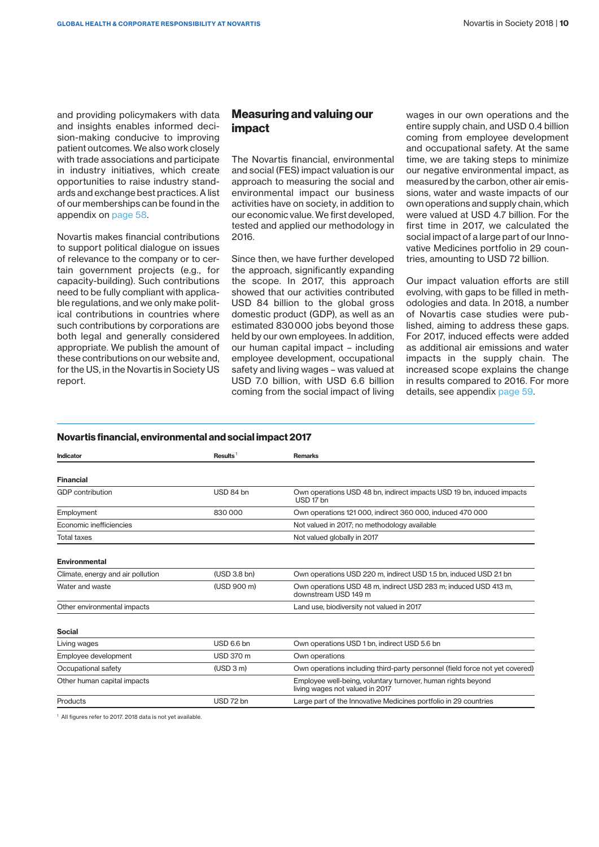and providing policymakers with data and insights enables informed decision-making conducive to improving patient outcomes. We also work closely with trade associations and participate in industry initiatives, which create opportunities to raise industry standards and exchange best practices. A list of our memberships can be found in the appendix on page 58.

Novartis makes financial contributions to support political dialogue on issues of relevance to the company or to certain government projects (e.g., for capacity-building). Such contributions need to be fully compliant with applicable regulations, and we only make political contributions in countries where such contributions by corporations are both legal and generally considered appropriate. We publish the amount of these contributions on our website and, for the US, in the Novartis in Society US report.

## **Measuring and valuing our impact**

The Novartis financial, environmental and social (FES) impact valuation is our approach to measuring the social and environmental impact our business activities have on society, in addition to our economic value. We first developed, tested and applied our methodology in 2016.

Since then, we have further developed the approach, significantly expanding the scope. In 2017, this approach showed that our activities contributed USD 84 billion to the global gross domestic product (GDP), as well as an estimated 830 000 jobs beyond those held by our own employees. In addition, our human capital impact – including employee development, occupational safety and living wages – was valued at USD 7.0 billion, with USD 6.6 billion coming from the social impact of living wages in our own operations and the entire supply chain, and USD 0.4 billion coming from employee development and occupational safety. At the same time, we are taking steps to minimize our negative environmental impact, as measured by the carbon, other air emissions, water and waste impacts of our own operations and supply chain, which were valued at USD 4.7 billion. For the first time in 2017, we calculated the social impact of a large part of our Innovative Medicines portfolio in 29 countries, amounting to USD 72 billion.

Our impact valuation efforts are still evolving, with gaps to be filled in methodologies and data. In 2018, a number of Novartis case studies were published, aiming to address these gaps. For 2017, induced effects were added as additional air emissions and water impacts in the supply chain. The increased scope explains the change in results compared to 2016. For more details, see appendix page 59.

#### **Novartis financial, environmental and social impact 2017**

| Indicator                                                    | Results <sup>1</sup> | <b>Remarks</b>                                                                                  |
|--------------------------------------------------------------|----------------------|-------------------------------------------------------------------------------------------------|
|                                                              |                      |                                                                                                 |
| <b>Financial</b>                                             |                      |                                                                                                 |
| <b>GDP</b> contribution                                      | USD 84 bn            | Own operations USD 48 bn, indirect impacts USD 19 bn, induced impacts<br>USD 17 bn              |
| Employment                                                   | 830 000              | Own operations 121 000, indirect 360 000, induced 470 000                                       |
| Economic inefficiencies                                      |                      | Not valued in 2017; no methodology available                                                    |
| <b>Total taxes</b>                                           |                      | Not valued globally in 2017                                                                     |
| <b>Environmental</b>                                         |                      |                                                                                                 |
| Climate, energy and air pollution                            | (USD 3.8 bn)         | Own operations USD 220 m, indirect USD 1.5 bn, induced USD 2.1 bn                               |
| Water and waste                                              | (USD 900 m)          | Own operations USD 48 m, indirect USD 283 m; induced USD 413 m,<br>downstream USD 149 m         |
| Other environmental impacts                                  |                      | Land use, biodiversity not valued in 2017                                                       |
| <b>Social</b>                                                |                      |                                                                                                 |
| Living wages                                                 | USD 6.6 bn           | Own operations USD 1 bn, indirect USD 5.6 bn                                                    |
| Employee development                                         | <b>USD 370 m</b>     | Own operations                                                                                  |
| Occupational safety                                          | (USD 3 m)            | Own operations including third-party personnel (field force not yet covered)                    |
| Other human capital impacts                                  |                      | Employee well-being, voluntary turnover, human rights beyond<br>living wages not valued in 2017 |
| Products                                                     | USD 72 bn            | Large part of the Innovative Medicines portfolio in 29 countries                                |
| 1. All figures refer to 2017, 2018 details not ust evailable |                      |                                                                                                 |

All figures refer to 2017. 2018 data is not yet available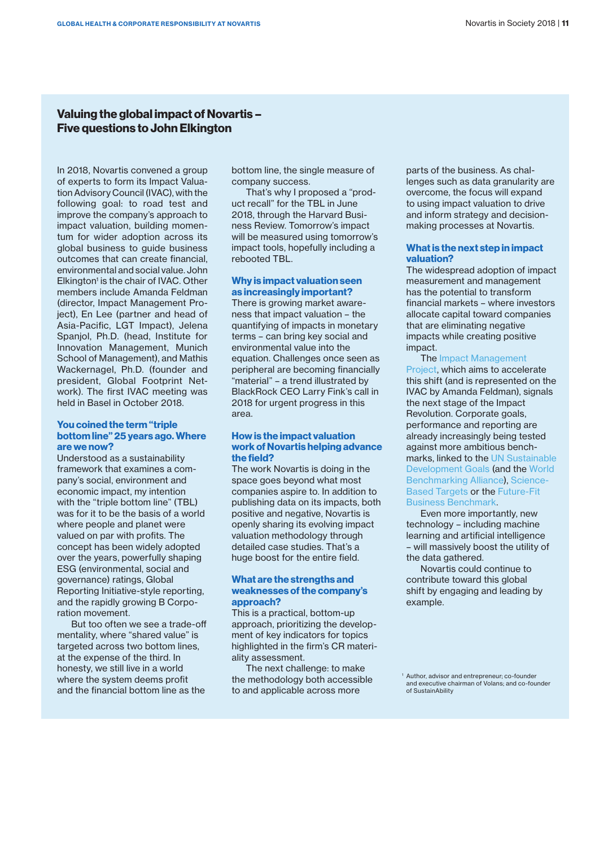## **Valuing the global impact of Novartis – Five questions to John Elkington**

In 2018, Novartis convened a group of experts to form its Impact Valuation Advisory Council (IVAC), with the following goal: to road test and improve the company's approach to impact valuation, building momentum for wider adoption across its global business to guide business outcomes that can create financial, environmental and social value. John Elkington<sup>1</sup> is the chair of IVAC. Other members include Amanda Feldman (director, Impact Management Project), En Lee (partner and head of Asia-Pacific, LGT Impact), Jelena Spanjol, Ph.D. (head, Institute for Innovation Management, Munich School of Management), and Mathis Wackernagel, Ph.D. (founder and president, Global Footprint Network). The first IVAC meeting was held in Basel in October 2018.

#### **You coined the term "triple bottom line" 25 years ago. Where are we now?**

Understood as a sustainability framework that examines a company's social, environment and economic impact, my intention with the "triple bottom line" (TBL) was for it to be the basis of a world where people and planet were valued on par with profits. The concept has been widely adopted over the years, powerfully shaping ESG (environmental, social and governance) ratings, Global Reporting Initiative-style reporting, and the rapidly growing B Corporation movement.

But too often we see a trade-off mentality, where "shared value" is targeted across two bottom lines. at the expense of the third. In honesty, we still live in a world where the system deems profit and the financial bottom line as the

bottom line, the single measure of company success.

That's why I proposed a "product recall" for the TBL in June 2018, through the Harvard Business Review. Tomorrow's impact will be measured using tomorrow's impact tools, hopefully including a rebooted TBL.

#### **Why is impact valuation seen as increasingly important?**

There is growing market awareness that impact valuation – the quantifying of impacts in monetary terms – can bring key social and environmental value into the equation. Challenges once seen as peripheral are becoming financially "material" – a trend illustrated by BlackRock CEO Larry Fink's call in 2018 for urgent progress in this area.

#### **How is the impact valuation work of Novartis helping advance the field?**

The work Novartis is doing in the space goes beyond what most companies aspire to. In addition to publishing data on its impacts, both positive and negative, Novartis is openly sharing its evolving impact valuation methodology through detailed case studies. That's a huge boost for the entire field.

#### **What are the strengths and weaknesses of the company's approach?**

This is a practical, bottom-up approach, prioritizing the development of key indicators for topics highlighted in the firm's CR materiality assessment.

The next challenge: to make the methodology both accessible to and applicable across more

parts of the business. As challenges such as data granularity are overcome, the focus will expand to using impact valuation to drive and inform strategy and decisionmaking processes at Novartis.

#### **What is the next step in impact valuation?**

The widespread adoption of impact measurement and management has the potential to transform financial markets – where investors allocate capital toward companies that are eliminating negative impacts while creating positive impact.

#### The [Impact Management](https://impactmanagementproject.com/)  [Project](https://impactmanagementproject.com/), which aims to accelerate this shift (and is represented on the IVAC by Amanda Feldman), signals the next stage of the Impact Revolution. Corporate goals, performance and reporting are already increasingly being tested against more ambitious benchmarks, linked to the [UN Sustainable](https://sustainabledevelopment.un.org/?menu=1300) [Development Goals](https://sustainabledevelopment.un.org/?menu=1300) (and the [World](https://www.worldbenchmarkingalliance.org/)  [Benchmarking Alliance\)](https://www.worldbenchmarkingalliance.org/), [Science-](https://sciencebasedtargets.org/)[Based Targets](https://sciencebasedtargets.org/) or the Future-Fit [Business Benchmark](http://futurefitbusiness.org/).

Even more importantly, new technology – including machine learning and artificial intelligence – will massively boost the utility of the data gathered.

Novartis could continue to contribute toward this global shift by engaging and leading by example.

<sup>1</sup> Author, advisor and entrepreneur; co-founder and executive chairman of Volans; and co-founder of SustainAbility